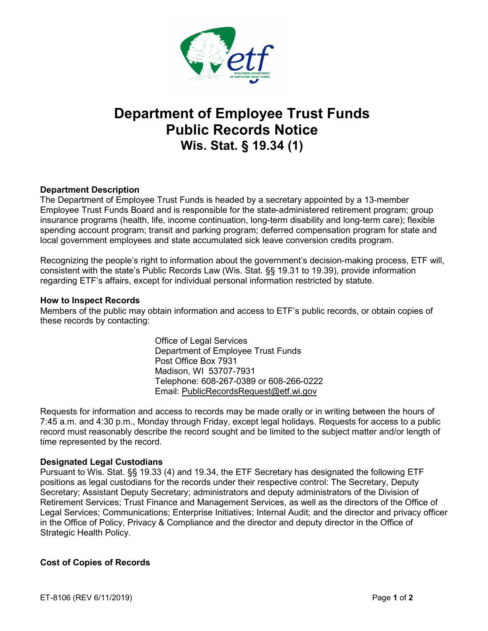

# **Department of Employee Trust Funds Public Records Notice Wis. Stat. § 19.34 (1)**

## **Department Description**

The Department of Employee Trust Funds is headed by a secretary appointed by a 13-member Employee Trust Funds Board and is responsible for the state-administered retirement program; group insurance programs (health, life, income continuation, long-term disability and long-term care); flexible spending account program; transit and parking program; deferred compensation program for state and local government employees and state accumulated sick leave conversion credits program.

Recognizing the people's right to information about the government's decision-making process, ETF will, consistent with the state's Public Records Law (Wis. Stat. §§ 19.31 to 19.39), provide information regarding ETF's affairs, except for individual personal information restricted by statute.

#### **How to Inspect Records**

Members of the public may obtain information and access to ETF's public records, or obtain copies of these records by contacting:

> Office of Legal Services Department of Employee Trust Funds Post Office Box 7931 Madison, WI 53707-7931 Telephone: 608-267-0389 or 608-266-0222 Email: [PublicRecordsRequest@etf.wi.gov](mailto:PublicRecordsRequest@etf.wi.gov)

Requests for information and access to records may be made orally or in writing between the hours of 7:45 a.m. and 4:30 p.m., Monday through Friday, except legal holidays. Requests for access to a public record must reasonably describe the record sought and be limited to the subject matter and/or length of time represented by the record.

#### **Designated Legal Custodians**

Pursuant to Wis. Stat. §§ 19.33 (4) and 19.34, the ETF Secretary has designated the following ETF positions as legal custodians for the records under their respective control: The Secretary, Deputy Secretary; Assistant Deputy Secretary; administrators and deputy administrators of the Division of Retirement Services; Trust Finance and Management Services, as well as the directors of the Office of Legal Services; Communications; Enterprise Initiatives; Internal Audit; and the director and privacy officer in the Office of Policy, Privacy & Compliance and the director and deputy director in the Office of Strategic Health Policy.

#### **Cost of Copies of Records**